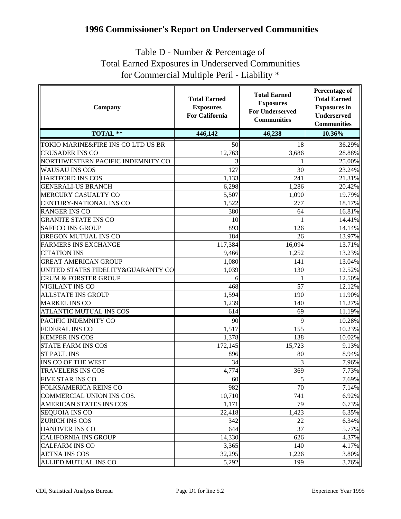## **1996 Commissioner's Report on Underserved Communities**

## Table D - Number & Percentage of Total Earned Exposures in Underserved Communities for Commercial Multiple Peril - Liability \*

| Company                            | <b>Total Earned</b><br><b>Exposures</b><br><b>For California</b> | <b>Total Earned</b><br><b>Exposures</b><br><b>For Underserved</b><br><b>Communities</b> | <b>Percentage of</b><br><b>Total Earned</b><br><b>Exposures</b> in<br><b>Underserved</b><br><b>Communities</b> |
|------------------------------------|------------------------------------------------------------------|-----------------------------------------------------------------------------------------|----------------------------------------------------------------------------------------------------------------|
| <b>TOTAL **</b>                    | 446,142                                                          | 46,238                                                                                  | 10.36%                                                                                                         |
| TOKIO MARINE&FIRE INS CO LTD US BR | 50                                                               | 18                                                                                      | 36.29%                                                                                                         |
| <b>CRUSADER INS CO</b>             | 12,763                                                           | 3,686                                                                                   | 28.88%                                                                                                         |
| NORTHWESTERN PACIFIC INDEMNITY CO  |                                                                  |                                                                                         | 25.00%                                                                                                         |
| WAUSAU INS COS                     | 127                                                              | 30                                                                                      | 23.24%                                                                                                         |
| <b>HARTFORD INS COS</b>            | 1,133                                                            | 241                                                                                     | 21.31%                                                                                                         |
| <b>GENERALI-US BRANCH</b>          | 6,298                                                            | 1,286                                                                                   | 20.42%                                                                                                         |
| MERCURY CASUALTY CO                | 5,507                                                            | 1,090                                                                                   | 19.79%                                                                                                         |
| CENTURY-NATIONAL INS CO            | 1,522                                                            | 277                                                                                     | 18.17%                                                                                                         |
| <b>RANGER INS CO</b>               | 380                                                              | 64                                                                                      | 16.81%                                                                                                         |
| <b>GRANITE STATE INS CO</b>        | 10                                                               |                                                                                         | 14.41%                                                                                                         |
| <b>SAFECO INS GROUP</b>            | 893                                                              | 126                                                                                     | 14.14%                                                                                                         |
| OREGON MUTUAL INS CO               | 184                                                              | 26                                                                                      | 13.97%                                                                                                         |
| <b>FARMERS INS EXCHANGE</b>        | 117,384                                                          | 16,094                                                                                  | 13.71%                                                                                                         |
| <b>CITATION INS</b>                | 9,466                                                            | 1,252                                                                                   | 13.23%                                                                                                         |
| <b>GREAT AMERICAN GROUP</b>        | 1,080                                                            | 141                                                                                     | 13.04%                                                                                                         |
| UNITED STATES FIDELITY&GUARANTY CO | 1,039                                                            | 130                                                                                     | 12.52%                                                                                                         |
| <b>CRUM &amp; FORSTER GROUP</b>    | 6                                                                |                                                                                         | 12.50%                                                                                                         |
| VIGILANT INS CO                    | 468                                                              | 57                                                                                      | 12.12%                                                                                                         |
| <b>ALLSTATE INS GROUP</b>          | 1,594                                                            | 190                                                                                     | 11.90%                                                                                                         |
| <b>MARKEL INS CO</b>               | 1,239                                                            | 140                                                                                     | 11.27%                                                                                                         |
| <b>ATLANTIC MUTUAL INS COS</b>     | 614                                                              | 69                                                                                      | 11.19%                                                                                                         |
| PACIFIC INDEMNITY CO               | 90                                                               | 9                                                                                       | 10.28%                                                                                                         |
| <b>FEDERAL INS CO</b>              | 1,517                                                            | 155                                                                                     | 10.23%                                                                                                         |
| <b>KEMPER INS COS</b>              | 1,378                                                            | 138                                                                                     | 10.02%                                                                                                         |
| <b>STATE FARM INS COS</b>          | 172,145                                                          | 15,723                                                                                  | 9.13%                                                                                                          |
| <b>ST PAUL INS</b>                 | 896                                                              | 80                                                                                      | 8.94%                                                                                                          |
| INS CO OF THE WEST                 | 34                                                               | 3                                                                                       | 7.96%                                                                                                          |
| <b>TRAVELERS INS COS</b>           | 4,774                                                            | 369                                                                                     | 7.73%                                                                                                          |
| FIVE STAR INS CO                   | 60                                                               | $\overline{5}$                                                                          | 7.69%                                                                                                          |
| FOLKSAMERICA REINS CO              | 982                                                              | 70                                                                                      | 7.14%                                                                                                          |
| COMMERCIAL UNION INS COS.          | 10,710                                                           | 741                                                                                     | 6.92%                                                                                                          |
| <b>AMERICAN STATES INS COS</b>     | 1,171                                                            | 79                                                                                      | 6.73%                                                                                                          |
| <b>SEQUOIA INS CO</b>              | 22,418                                                           | 1,423                                                                                   | 6.35%                                                                                                          |
| <b>ZURICH INS COS</b>              | 342                                                              | 22                                                                                      | 6.34%                                                                                                          |
| <b>HANOVER INS CO</b>              | 644                                                              | 37                                                                                      | 5.77%                                                                                                          |
| <b>CALIFORNIA INS GROUP</b>        | 14,330                                                           | 626                                                                                     | 4.37%                                                                                                          |
| <b>CALFARM INS CO</b>              | 3,365                                                            | 140                                                                                     | 4.17%                                                                                                          |
| <b>AETNA INS COS</b>               | 32,295                                                           | 1,226                                                                                   | 3.80%                                                                                                          |
| <b>ALLIED MUTUAL INS CO</b>        | 5,292                                                            | 199                                                                                     | 3.76%                                                                                                          |